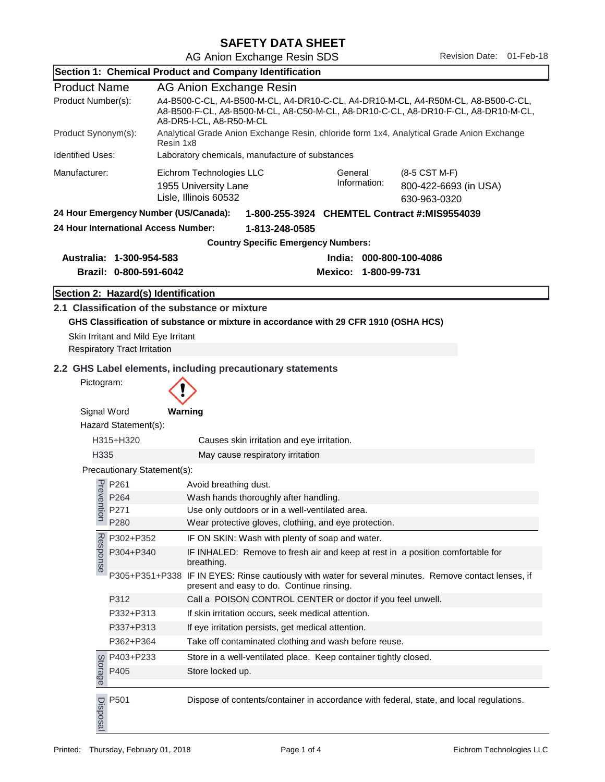AG Anion Exchange Resin SDS<br>
Revision Date: 01-Feb-18

|                                                        |                                                                                     | Section 1: Chemical Product and Company Identification                                                                                                                                              |                                                                                                                                                    |                                       |  |  |  |
|--------------------------------------------------------|-------------------------------------------------------------------------------------|-----------------------------------------------------------------------------------------------------------------------------------------------------------------------------------------------------|----------------------------------------------------------------------------------------------------------------------------------------------------|---------------------------------------|--|--|--|
| <b>Product Name</b>                                    |                                                                                     | AG Anion Exchange Resin                                                                                                                                                                             |                                                                                                                                                    |                                       |  |  |  |
| Product Number(s):                                     |                                                                                     | A4-B500-C-CL, A4-B500-M-CL, A4-DR10-C-CL, A4-DR10-M-CL, A4-R50M-CL, A8-B500-C-CL,<br>A8-B500-F-CL, A8-B500-M-CL, A8-C50-M-CL, A8-DR10-C-CL, A8-DR10-F-CL, A8-DR10-M-CL,<br>A8-DR5-I-CL, A8-R50-M-CL |                                                                                                                                                    |                                       |  |  |  |
| Product Synonym(s):                                    |                                                                                     | Analytical Grade Anion Exchange Resin, chloride form 1x4, Analytical Grade Anion Exchange<br>Resin 1x8                                                                                              |                                                                                                                                                    |                                       |  |  |  |
| <b>Identified Uses:</b>                                |                                                                                     | Laboratory chemicals, manufacture of substances                                                                                                                                                     |                                                                                                                                                    |                                       |  |  |  |
| Manufacturer:                                          |                                                                                     | Eichrom Technologies LLC                                                                                                                                                                            | General                                                                                                                                            | (8-5 CST M-F)                         |  |  |  |
|                                                        |                                                                                     | 1955 University Lane<br>Lisle, Illinois 60532                                                                                                                                                       | Information:                                                                                                                                       | 800-422-6693 (in USA)<br>630-963-0320 |  |  |  |
| 24 Hour Emergency Number (US/Canada):                  |                                                                                     | 1-800-255-3924 CHEMTEL Contract #:MIS9554039                                                                                                                                                        |                                                                                                                                                    |                                       |  |  |  |
| 24 Hour International Access Number:<br>1-813-248-0585 |                                                                                     |                                                                                                                                                                                                     |                                                                                                                                                    |                                       |  |  |  |
| <b>Country Specific Emergency Numbers:</b>             |                                                                                     |                                                                                                                                                                                                     |                                                                                                                                                    |                                       |  |  |  |
|                                                        | Australia: 1-300-954-583                                                            | India: 000-800-100-4086                                                                                                                                                                             |                                                                                                                                                    |                                       |  |  |  |
|                                                        | Brazil: 0-800-591-6042                                                              |                                                                                                                                                                                                     | Mexico: 1-800-99-731                                                                                                                               |                                       |  |  |  |
|                                                        | Section 2: Hazard(s) Identification                                                 |                                                                                                                                                                                                     |                                                                                                                                                    |                                       |  |  |  |
|                                                        |                                                                                     | 2.1 Classification of the substance or mixture                                                                                                                                                      |                                                                                                                                                    |                                       |  |  |  |
|                                                        |                                                                                     | GHS Classification of substance or mixture in accordance with 29 CFR 1910 (OSHA HCS)                                                                                                                |                                                                                                                                                    |                                       |  |  |  |
|                                                        | Skin Irritant and Mild Eye Irritant                                                 |                                                                                                                                                                                                     |                                                                                                                                                    |                                       |  |  |  |
|                                                        | <b>Respiratory Tract Irritation</b>                                                 |                                                                                                                                                                                                     |                                                                                                                                                    |                                       |  |  |  |
|                                                        |                                                                                     | 2.2 GHS Label elements, including precautionary statements                                                                                                                                          |                                                                                                                                                    |                                       |  |  |  |
| Pictogram:                                             |                                                                                     |                                                                                                                                                                                                     |                                                                                                                                                    |                                       |  |  |  |
|                                                        |                                                                                     |                                                                                                                                                                                                     |                                                                                                                                                    |                                       |  |  |  |
| Signal Word                                            |                                                                                     | Warning                                                                                                                                                                                             |                                                                                                                                                    |                                       |  |  |  |
|                                                        | Hazard Statement(s):                                                                |                                                                                                                                                                                                     |                                                                                                                                                    |                                       |  |  |  |
| H315+H320                                              |                                                                                     | Causes skin irritation and eye irritation.                                                                                                                                                          |                                                                                                                                                    |                                       |  |  |  |
| H335                                                   |                                                                                     | May cause respiratory irritation                                                                                                                                                                    |                                                                                                                                                    |                                       |  |  |  |
|                                                        | Precautionary Statement(s):                                                         |                                                                                                                                                                                                     |                                                                                                                                                    |                                       |  |  |  |
|                                                        |                                                                                     | Avoid breathing dust.                                                                                                                                                                               |                                                                                                                                                    |                                       |  |  |  |
|                                                        | P <sub>re</sub><br>P <sub>264</sub><br>P <sub>264</sub><br>P <sub>271</sub><br>P264 | Wash hands thoroughly after handling.                                                                                                                                                               |                                                                                                                                                    |                                       |  |  |  |
| S                                                      |                                                                                     | Use only outdoors or in a well-ventilated area                                                                                                                                                      |                                                                                                                                                    |                                       |  |  |  |
|                                                        | P280                                                                                | Wear protective gloves, clothing, and eye protection.                                                                                                                                               |                                                                                                                                                    |                                       |  |  |  |
|                                                        | P302+P352                                                                           | IF ON SKIN: Wash with plenty of soap and water.                                                                                                                                                     |                                                                                                                                                    |                                       |  |  |  |
| Response                                               | P304+P340                                                                           | breathing.                                                                                                                                                                                          | IF INHALED: Remove to fresh air and keep at rest in a position comfortable for                                                                     |                                       |  |  |  |
|                                                        |                                                                                     |                                                                                                                                                                                                     | P305+P351+P338 IF IN EYES: Rinse cautiously with water for several minutes. Remove contact lenses, if<br>present and easy to do. Continue rinsing. |                                       |  |  |  |
|                                                        | P312                                                                                | Call a POISON CONTROL CENTER or doctor if you feel unwell.                                                                                                                                          |                                                                                                                                                    |                                       |  |  |  |
|                                                        | P332+P313                                                                           | If skin irritation occurs, seek medical attention.                                                                                                                                                  |                                                                                                                                                    |                                       |  |  |  |
|                                                        | P337+P313                                                                           | If eye irritation persists, get medical attention.<br>Take off contaminated clothing and wash before reuse.                                                                                         |                                                                                                                                                    |                                       |  |  |  |
|                                                        | P362+P364                                                                           |                                                                                                                                                                                                     |                                                                                                                                                    |                                       |  |  |  |
|                                                        |                                                                                     | Store in a well-ventilated place. Keep container tightly closed.                                                                                                                                    |                                                                                                                                                    |                                       |  |  |  |
|                                                        | $\frac{60}{2}$ P403+P233<br>as P405                                                 | Store locked up.                                                                                                                                                                                    |                                                                                                                                                    |                                       |  |  |  |
| Disposal                                               | P501                                                                                | Dispose of contents/container in accordance with federal, state, and local regulations.                                                                                                             |                                                                                                                                                    |                                       |  |  |  |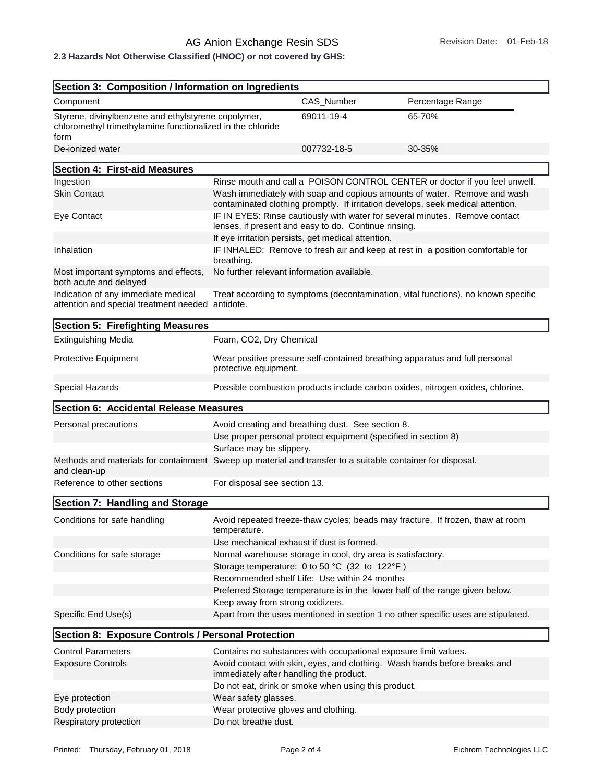2.3 Hazards Not Otherwise Classified (HNOC) or not covered by GHS:

| Section 3: Composition / Information on Ingredients                                                                        |                                                                                                                                                             |                                                     |                                                                                   |  |  |
|----------------------------------------------------------------------------------------------------------------------------|-------------------------------------------------------------------------------------------------------------------------------------------------------------|-----------------------------------------------------|-----------------------------------------------------------------------------------|--|--|
| Component                                                                                                                  |                                                                                                                                                             | CAS_Number                                          | Percentage Range                                                                  |  |  |
| Styrene, divinylbenzene and ethylstyrene copolymer,<br>chloromethyl trimethylamine functionalized in the chloride<br>form  |                                                                                                                                                             | 69011-19-4                                          | 65-70%                                                                            |  |  |
| De-ionized water                                                                                                           |                                                                                                                                                             | 007732-18-5                                         | 30-35%                                                                            |  |  |
| Section 4: First-aid Measures                                                                                              |                                                                                                                                                             |                                                     |                                                                                   |  |  |
| Ingestion                                                                                                                  |                                                                                                                                                             |                                                     | Rinse mouth and call a POISON CONTROL CENTER or doctor if you feel unwell.        |  |  |
| <b>Skin Contact</b>                                                                                                        | Wash immediately with soap and copious amounts of water. Remove and wash<br>contaminated clothing promptly. If irritation develops, seek medical attention. |                                                     |                                                                                   |  |  |
| Eye Contact                                                                                                                | IF IN EYES: Rinse cautiously with water for several minutes. Remove contact<br>lenses, if present and easy to do. Continue rinsing.                         |                                                     |                                                                                   |  |  |
|                                                                                                                            |                                                                                                                                                             | If eye irritation persists, get medical attention.  |                                                                                   |  |  |
| Inhalation                                                                                                                 | IF INHALED: Remove to fresh air and keep at rest in a position comfortable for<br>breathing.                                                                |                                                     |                                                                                   |  |  |
| Most important symptoms and effects,<br>both acute and delayed                                                             | No further relevant information available.                                                                                                                  |                                                     |                                                                                   |  |  |
| Indication of any immediate medical<br>attention and special treatment needed antidote.                                    |                                                                                                                                                             |                                                     | Treat according to symptoms (decontamination, vital functions), no known specific |  |  |
| Section 5: Firefighting Measures                                                                                           |                                                                                                                                                             |                                                     |                                                                                   |  |  |
| <b>Extinguishing Media</b>                                                                                                 | Foam, CO2, Dry Chemical                                                                                                                                     |                                                     |                                                                                   |  |  |
| Protective Equipment                                                                                                       | Wear positive pressure self-contained breathing apparatus and full personal<br>protective equipment.                                                        |                                                     |                                                                                   |  |  |
| Special Hazards                                                                                                            | Possible combustion products include carbon oxides, nitrogen oxides, chlorine.                                                                              |                                                     |                                                                                   |  |  |
| Section 6: Accidental Release Measures                                                                                     |                                                                                                                                                             |                                                     |                                                                                   |  |  |
| Personal precautions<br>Avoid creating and breathing dust. See section 8.                                                  |                                                                                                                                                             |                                                     |                                                                                   |  |  |
| Use proper personal protect equipment (specified in section 8)                                                             |                                                                                                                                                             |                                                     |                                                                                   |  |  |
|                                                                                                                            | Surface may be slippery.                                                                                                                                    |                                                     |                                                                                   |  |  |
| Methods and materials for containment Sweep up material and transfer to a suitable container for disposal.<br>and clean-up |                                                                                                                                                             |                                                     |                                                                                   |  |  |
| Reference to other sections                                                                                                | For disposal see section 13.                                                                                                                                |                                                     |                                                                                   |  |  |
| Section 7: Handling and Storage                                                                                            |                                                                                                                                                             |                                                     |                                                                                   |  |  |
| Conditions for safe handling                                                                                               | temperature.                                                                                                                                                |                                                     | Avoid repeated freeze-thaw cycles; beads may fracture. If frozen, thaw at room    |  |  |
|                                                                                                                            |                                                                                                                                                             | Use mechanical exhaust if dust is formed.           |                                                                                   |  |  |
| Conditions for safe storage                                                                                                | Normal warehouse storage in cool, dry area is satisfactory.                                                                                                 |                                                     |                                                                                   |  |  |
|                                                                                                                            |                                                                                                                                                             | Storage temperature: 0 to 50 °C (32 to 122°F)       |                                                                                   |  |  |
|                                                                                                                            |                                                                                                                                                             | Recommended shelf Life: Use within 24 months        |                                                                                   |  |  |
|                                                                                                                            |                                                                                                                                                             |                                                     | Preferred Storage temperature is in the lower half of the range given below.      |  |  |
|                                                                                                                            | Keep away from strong oxidizers.                                                                                                                            |                                                     |                                                                                   |  |  |
| Specific End Use(s)                                                                                                        |                                                                                                                                                             |                                                     | Apart from the uses mentioned in section 1 no other specific uses are stipulated. |  |  |
| Section 8: Exposure Controls / Personal Protection                                                                         |                                                                                                                                                             |                                                     |                                                                                   |  |  |
| <b>Control Parameters</b>                                                                                                  | Contains no substances with occupational exposure limit values.                                                                                             |                                                     |                                                                                   |  |  |
| <b>Exposure Controls</b>                                                                                                   | immediately after handling the product.                                                                                                                     |                                                     | Avoid contact with skin, eyes, and clothing. Wash hands before breaks and         |  |  |
|                                                                                                                            |                                                                                                                                                             | Do not eat, drink or smoke when using this product. |                                                                                   |  |  |
| Eye protection                                                                                                             | Wear safety glasses.                                                                                                                                        |                                                     |                                                                                   |  |  |
| Body protection                                                                                                            | Wear protective gloves and clothing.                                                                                                                        |                                                     |                                                                                   |  |  |
| Respiratory protection                                                                                                     | Do not breathe dust.                                                                                                                                        |                                                     |                                                                                   |  |  |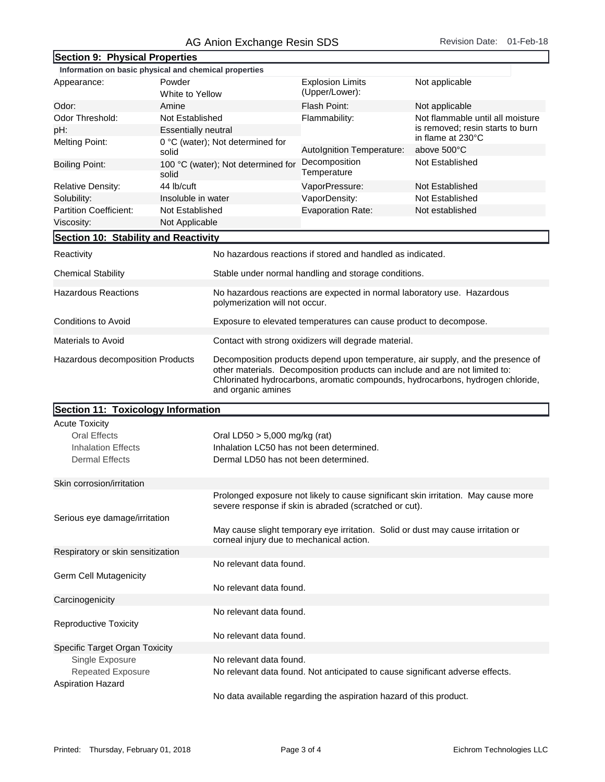| Section 9: Physical Properties                                          |                            |                                                                                                                                                                                                                                                                        |                                                            |                                                       |  |  |
|-------------------------------------------------------------------------|----------------------------|------------------------------------------------------------------------------------------------------------------------------------------------------------------------------------------------------------------------------------------------------------------------|------------------------------------------------------------|-------------------------------------------------------|--|--|
| Information on basic physical and chemical properties                   |                            |                                                                                                                                                                                                                                                                        |                                                            |                                                       |  |  |
| Appearance:                                                             | Powder                     |                                                                                                                                                                                                                                                                        | <b>Explosion Limits</b>                                    | Not applicable                                        |  |  |
|                                                                         | White to Yellow            |                                                                                                                                                                                                                                                                        | (Upper/Lower):                                             |                                                       |  |  |
| Odor:<br>Amine                                                          |                            |                                                                                                                                                                                                                                                                        | Flash Point:                                               | Not applicable                                        |  |  |
| Odor Threshold:<br>Not Established                                      |                            |                                                                                                                                                                                                                                                                        | Flammability:                                              | Not flammable until all moisture                      |  |  |
| pH:                                                                     | <b>Essentially neutral</b> |                                                                                                                                                                                                                                                                        |                                                            | is removed; resin starts to burn<br>in flame at 230°C |  |  |
| <b>Melting Point:</b>                                                   |                            | 0 °C (water); Not determined for                                                                                                                                                                                                                                       | Autolgnition Temperature:                                  | above 500°C                                           |  |  |
| solid                                                                   |                            |                                                                                                                                                                                                                                                                        | Decomposition                                              | Not Established                                       |  |  |
| <b>Boiling Point:</b><br>solid                                          |                            | 100 °C (water); Not determined for                                                                                                                                                                                                                                     | Temperature                                                |                                                       |  |  |
| Relative Density:                                                       | 44 lb/cuft                 |                                                                                                                                                                                                                                                                        | VaporPressure:                                             | Not Established                                       |  |  |
| Solubility:                                                             | Insoluble in water         |                                                                                                                                                                                                                                                                        | VaporDensity:                                              | Not Established                                       |  |  |
| <b>Partition Coefficient:</b>                                           | Not Established            |                                                                                                                                                                                                                                                                        | <b>Evaporation Rate:</b>                                   | Not established                                       |  |  |
| Viscosity:                                                              | Not Applicable             |                                                                                                                                                                                                                                                                        |                                                            |                                                       |  |  |
| Section 10: Stability and Reactivity                                    |                            |                                                                                                                                                                                                                                                                        |                                                            |                                                       |  |  |
|                                                                         |                            |                                                                                                                                                                                                                                                                        |                                                            |                                                       |  |  |
| Reactivity                                                              |                            |                                                                                                                                                                                                                                                                        | No hazardous reactions if stored and handled as indicated. |                                                       |  |  |
| <b>Chemical Stability</b>                                               |                            | Stable under normal handling and storage conditions.                                                                                                                                                                                                                   |                                                            |                                                       |  |  |
| <b>Hazardous Reactions</b>                                              |                            | No hazardous reactions are expected in normal laboratory use. Hazardous<br>polymerization will not occur.                                                                                                                                                              |                                                            |                                                       |  |  |
| Conditions to Avoid                                                     |                            | Exposure to elevated temperatures can cause product to decompose.                                                                                                                                                                                                      |                                                            |                                                       |  |  |
| Materials to Avoid                                                      |                            | Contact with strong oxidizers will degrade material.                                                                                                                                                                                                                   |                                                            |                                                       |  |  |
| Hazardous decomposition Products                                        |                            | Decomposition products depend upon temperature, air supply, and the presence of<br>other materials. Decomposition products can include and are not limited to:<br>Chlorinated hydrocarbons, aromatic compounds, hydrocarbons, hydrogen chloride,<br>and organic amines |                                                            |                                                       |  |  |
| Section 11: Toxicology Information                                      |                            |                                                                                                                                                                                                                                                                        |                                                            |                                                       |  |  |
| <b>Acute Toxicity</b>                                                   |                            |                                                                                                                                                                                                                                                                        |                                                            |                                                       |  |  |
| <b>Oral Effects</b>                                                     |                            | Oral LD50 $> 5,000$ mg/kg (rat)                                                                                                                                                                                                                                        |                                                            |                                                       |  |  |
| <b>Inhalation Effects</b>                                               |                            | Inhalation LC50 has not been determined.                                                                                                                                                                                                                               |                                                            |                                                       |  |  |
| <b>Dermal Effects</b>                                                   |                            | Dermal LD50 has not been determined.                                                                                                                                                                                                                                   |                                                            |                                                       |  |  |
|                                                                         |                            |                                                                                                                                                                                                                                                                        |                                                            |                                                       |  |  |
| Skin corrosion/irritation                                               |                            |                                                                                                                                                                                                                                                                        |                                                            |                                                       |  |  |
|                                                                         |                            | Prolonged exposure not likely to cause significant skin irritation. May cause more<br>severe response if skin is abraded (scratched or cut).                                                                                                                           |                                                            |                                                       |  |  |
| Serious eye damage/irritation                                           |                            |                                                                                                                                                                                                                                                                        |                                                            |                                                       |  |  |
|                                                                         |                            | May cause slight temporary eye irritation. Solid or dust may cause irritation or<br>corneal injury due to mechanical action.                                                                                                                                           |                                                            |                                                       |  |  |
| Respiratory or skin sensitization                                       |                            |                                                                                                                                                                                                                                                                        |                                                            |                                                       |  |  |
|                                                                         |                            | No relevant data found.                                                                                                                                                                                                                                                |                                                            |                                                       |  |  |
| <b>Germ Cell Mutagenicity</b>                                           |                            |                                                                                                                                                                                                                                                                        |                                                            |                                                       |  |  |
|                                                                         |                            | No relevant data found.                                                                                                                                                                                                                                                |                                                            |                                                       |  |  |
| Carcinogenicity                                                         |                            |                                                                                                                                                                                                                                                                        |                                                            |                                                       |  |  |
|                                                                         |                            | No relevant data found.                                                                                                                                                                                                                                                |                                                            |                                                       |  |  |
| <b>Reproductive Toxicity</b>                                            |                            |                                                                                                                                                                                                                                                                        |                                                            |                                                       |  |  |
|                                                                         |                            | No relevant data found.                                                                                                                                                                                                                                                |                                                            |                                                       |  |  |
| Specific Target Organ Toxicity                                          |                            |                                                                                                                                                                                                                                                                        |                                                            |                                                       |  |  |
| Single Exposure<br><b>Repeated Exposure</b><br><b>Aspiration Hazard</b> |                            | No relevant data found.                                                                                                                                                                                                                                                |                                                            |                                                       |  |  |
|                                                                         |                            | No relevant data found. Not anticipated to cause significant adverse effects.                                                                                                                                                                                          |                                                            |                                                       |  |  |
|                                                                         |                            | No data available regarding the aspiration hazard of this product.                                                                                                                                                                                                     |                                                            |                                                       |  |  |